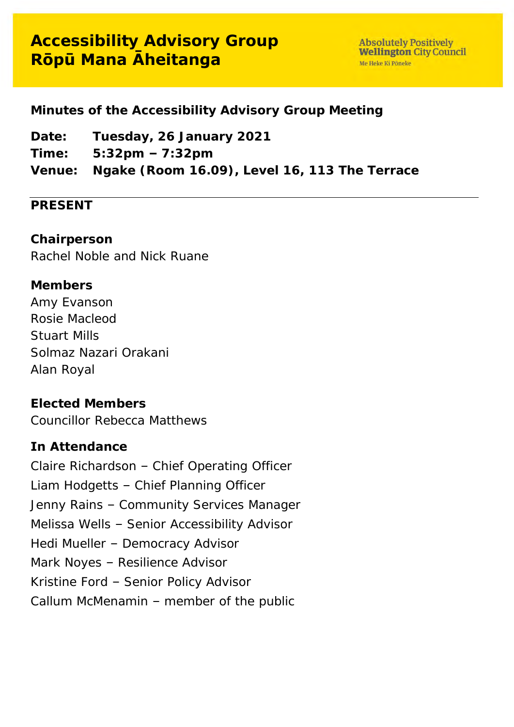#### **Minutes of the Accessibility Advisory Group Meeting**

**Date: Tuesday, 26 January 2021 Time: 5:32pm – 7:32pm Venue: Ngake (Room 16.09), Level 16, 113 The Terrace** 

#### **PRESENT**

**Chairperson** Rachel Noble and Nick Ruane

**Members** Amy Evanson Rosie Macleod Stuart Mills Solmaz Nazari Orakani Alan Royal

**Elected Members** Councillor Rebecca Matthews

#### **In Attendance**

Claire Richardson – Chief Operating Officer Liam Hodgetts – Chief Planning Officer Jenny Rains – Community Services Manager Melissa Wells – Senior Accessibility Advisor Hedi Mueller – Democracy Advisor Mark Noyes – Resilience Advisor Kristine Ford – Senior Policy Advisor Callum McMenamin – member of the public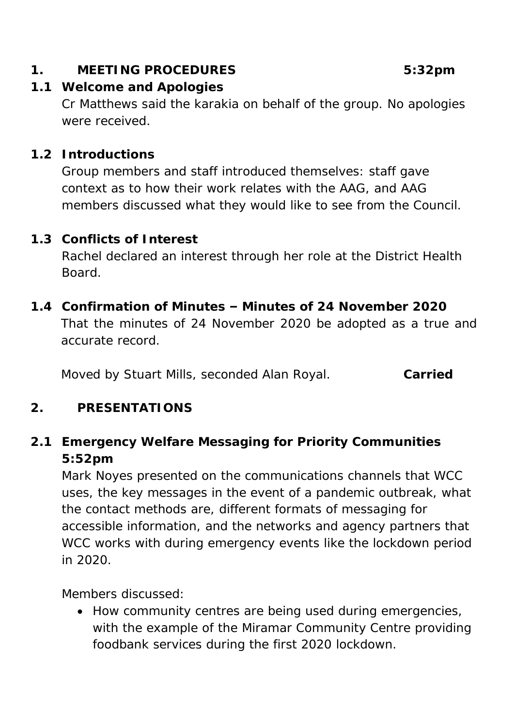**1. MEETING PROCEDURES 5:32pm**

- **1.1 Welcome and Apologies** Cr Matthews said the karakia on behalf of the group. No apologies were received.
- **1.2 Introductions**

Group members and staff introduced themselves: staff gave context as to how their work relates with the AAG, and AAG members discussed what they would like to see from the Council.

- **1.3 Conflicts of Interest** Rachel declared an interest through her role at the District Health Board.
- **1.4 Confirmation of Minutes – Minutes of 24 November 2020**  That the minutes of 24 November 2020 be adopted as a true and accurate record.

Moved by Stuart Mills, seconded Alan Royal. **Carried**

#### **2. PRESENTATIONS**

**2.1 Emergency Welfare Messaging for Priority Communities 5:52pm**

Mark Noyes presented on the communications channels that WCC uses, the key messages in the event of a pandemic outbreak, what the contact methods are, different formats of messaging for accessible information, and the networks and agency partners that WCC works with during emergency events like the lockdown period in 2020.

Members discussed:

• How community centres are being used during emergencies, with the example of the Miramar Community Centre providing foodbank services during the first 2020 lockdown.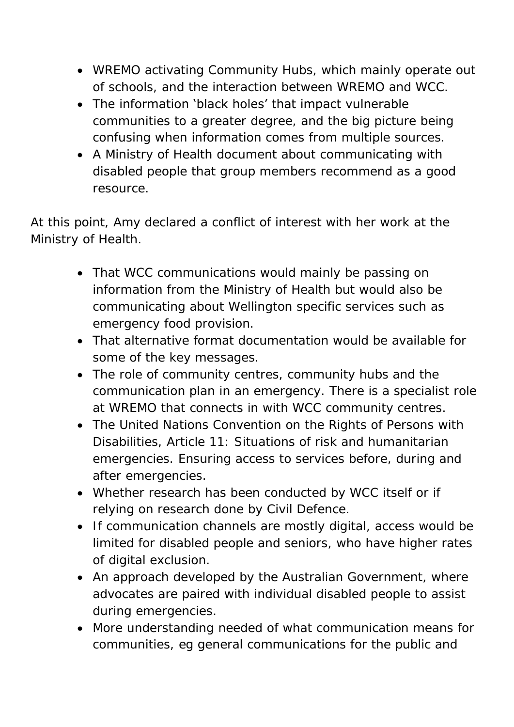- WREMO activating Community Hubs, which mainly operate out of schools, and the interaction between WREMO and WCC.
- The information 'black holes' that impact vulnerable communities to a greater degree, and the big picture being confusing when information comes from multiple sources.
- A Ministry of Health document about communicating with disabled people that group members recommend as a good resource.

At this point, Amy declared a conflict of interest with her work at the Ministry of Health.

- That WCC communications would mainly be passing on information from the Ministry of Health but would also be communicating about Wellington specific services such as emergency food provision.
- That alternative format documentation would be available for some of the key messages.
- The role of community centres, community hubs and the communication plan in an emergency. There is a specialist role at WREMO that connects in with WCC community centres.
- The United Nations Convention on the Rights of Persons with Disabilities, Article 11: Situations of risk and humanitarian emergencies. Ensuring access to services before, during and after emergencies.
- Whether research has been conducted by WCC itself or if relying on research done by Civil Defence.
- If communication channels are mostly digital, access would be limited for disabled people and seniors, who have higher rates of digital exclusion.
- An approach developed by the Australian Government, where advocates are paired with individual disabled people to assist during emergencies.
- More understanding needed of what communication means for communities, eg general communications for the public and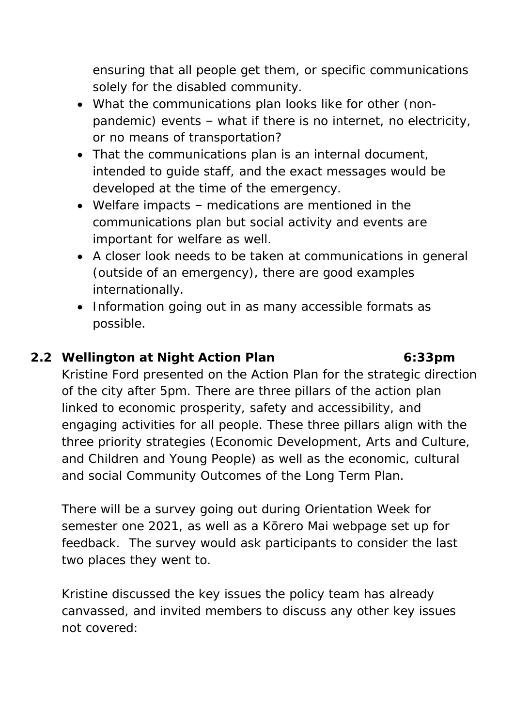ensuring that all people get them, or specific communications solely for the disabled community.

- What the communications plan looks like for other (nonpandemic) events – what if there is no internet, no electricity, or no means of transportation?
- That the communications plan is an internal document, intended to guide staff, and the exact messages would be developed at the time of the emergency.
- Welfare impacts medications are mentioned in the communications plan but social activity and events are important for welfare as well.
- A closer look needs to be taken at communications in general (outside of an emergency), there are good examples internationally.
- Information going out in as many accessible formats as possible.

# **2.2 Wellington at Night Action Plan 6:33pm**

Kristine Ford presented on the Action Plan for the strategic direction of the city after 5pm. There are three pillars of the action plan linked to economic prosperity, safety and accessibility, and engaging activities for all people. These three pillars align with the three priority strategies (Economic Development, Arts and Culture, and Children and Young People) as well as the economic, cultural and social Community Outcomes of the Long Term Plan.

There will be a survey going out during Orientation Week for semester one 2021, as well as a Korero Mai webpage set up for feedback. The survey would ask participants to consider the last two places they went to.

Kristine discussed the key issues the policy team has already canvassed, and invited members to discuss any other key issues not covered: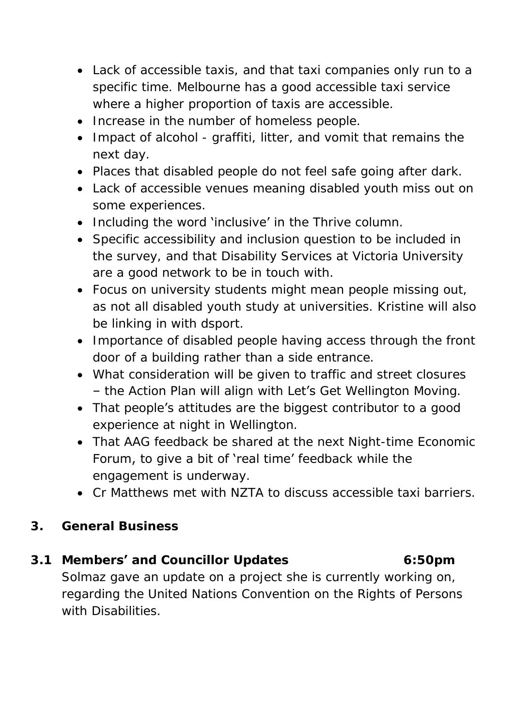- Lack of accessible taxis, and that taxi companies only run to a specific time. Melbourne has a good accessible taxi service where a higher proportion of taxis are accessible.
- Increase in the number of homeless people.
- Impact of alcohol graffiti, litter, and vomit that remains the next day.
- Places that disabled people do not feel safe going after dark.
- Lack of accessible venues meaning disabled youth miss out on some experiences.
- Including the word **'inclusive' in** the Thrive column.
- Specific accessibility and inclusion question to be included in the survey, and that Disability Services at Victoria University are a good network to be in touch with.
- Focus on university students might mean people missing out, as not all disabled youth study at universities. Kristine will also be linking in with dsport.
- Importance of disabled people having access through the front door of a building rather than a side entrance.
- What consideration will be given to traffic and street closures – the Action Plan will align with Let's Get Wellington Moving.
- That people's attitudes are the biggest contributor to a good experience at night in Wellington.
- That AAG feedback be shared at the next Night-time Economic Forum, to give a bit of 'real time' feedback while the engagement is underway.
- Cr Matthews met with NZTA to discuss accessible taxi barriers.
- **3. General Business**
- **3.1 Members' and Councillor Updates 6:50pm** Solmaz gave an update on a project she is currently working on, regarding the United Nations Convention on the Rights of Persons with Disabilities.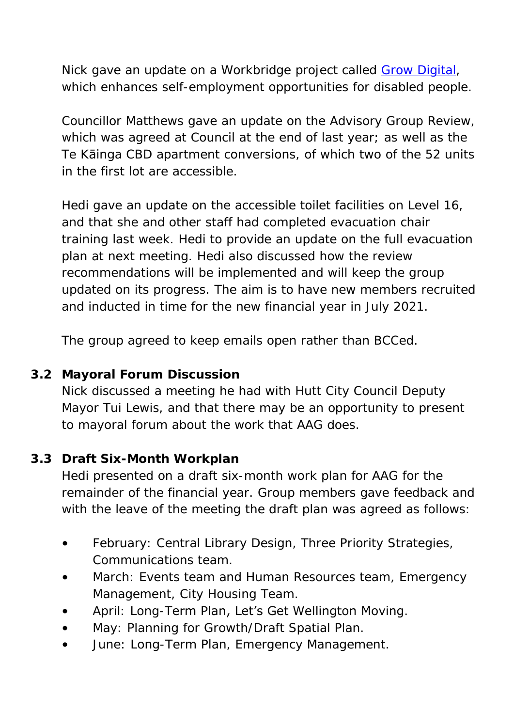Nick gave an update on a Workbridge project called [Grow Digital,](https://growdigital.co.nz/) which enhances self-employment opportunities for disabled people.

Councillor Matthews gave an update on the Advisory Group Review, which was agreed at Council at the end of last year; as well as the Te Kāinga CBD apartment conversions, of which two of the 52 units in the first lot are accessible.

Hedi gave an update on the accessible toilet facilities on Level 16, and that she and other staff had completed evacuation chair training last week. Hedi to provide an update on the full evacuation plan at next meeting. Hedi also discussed how the review recommendations will be implemented and will keep the group updated on its progress. The aim is to have new members recruited and inducted in time for the new financial year in July 2021.

The group agreed to keep emails open rather than BCCed.

### **3.2 Mayoral Forum Discussion**

Nick discussed a meeting he had with Hutt City Council Deputy Mayor Tui Lewis, and that there may be an opportunity to present to mayoral forum about the work that AAG does.

## **3.3 Draft Six-Month Workplan**

Hedi presented on a draft six-month work plan for AAG for the remainder of the financial year. Group members gave feedback and with the leave of the meeting the draft plan was agreed as follows:

- February: Central Library Design, Three Priority Strategies, Communications team.
- March: Events team and Human Resources team, Emergency Management, City Housing Team.
- April: Long-Term Plan, Let's Get Wellington Moving.
- May: Planning for Growth/Draft Spatial Plan.
- June: Long-Term Plan, Emergency Management.